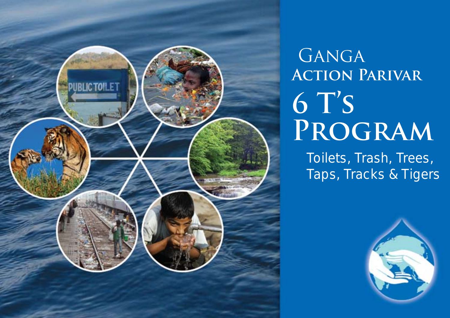

# GANGA **Action Parivar 6 T's Program**

Toilets, Trash, Trees, Taps, Tracks & Tigers

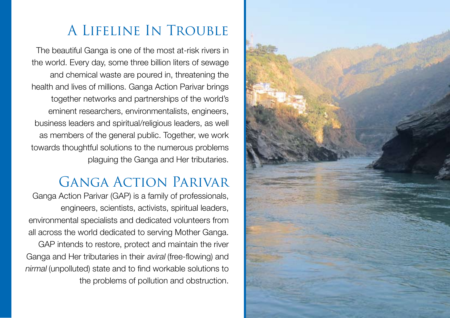## A Lifeline In Trouble The beautiful Ganga is one of the most at-risk rivers in

the world. Every day, some three billion liters of sewage and chemical waste are poured in, threatening the health and lives of millions. Ganga Action Parivar brings together networks and partnerships of the world's eminent researchers, environmentalists, engineers, business leaders and spiritual/religious leaders, as well as members of the general public. Together, we work towards thoughtful solutions to the numerous problems plaguing the Ganga and Her tributaries.

### Ganga Action Parivar

Ganga Action Parivar (GAP) is a family of professionals, engineers, scientists, activists, spiritual leaders, environmental specialists and dedicated volunteers from all across the world dedicated to serving Mother Ganga.

GAP intends to restore, protect and maintain the river Ganga and Her tributaries in their aviral (free-flowing) and nirmal (unpolluted) state and to find workable solutions to the problems of pollution and obstruction.

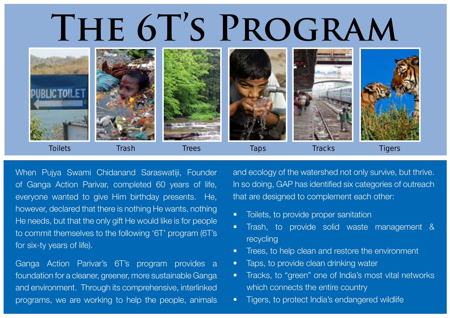# **The 6T's Program**



When Pujya Swami Chidanand Saraswatiji, Founder of Ganga Action Parivar, completed 60 years of life, everyone wanted to give Him birthday presents. He, however, declared that there is nothing He wants, nothing He needs, but that the only gift He would like is for people to commit themselves to the following '6T' program (6T's for six-ty years of life).

Ganga Action Parivar's 6T's program provides a foundation for a cleaner, greener, more sustainable Ganga and environment. Through its comprehensive, interlinked programs, we are working to help the people, animals and ecology of the watershed not only survive, but thrive. In so doing, GAP has identified six categories of outreach that are designed to complement each other:

- Toilets, to provide proper sanitation
- Trash, to provide solid waste management & recycling
- Trees, to help clean and restore the environment
- Taps, to provide clean drinking water
- Tracks, to "green" one of India's most vital networks which connects the entire country
- Tigers, to protect India's endangered wildlife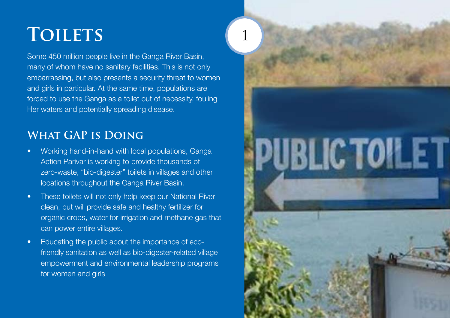### **Toilets**

Some 450 million people live in the Ganga River Basin, many of whom have no sanitary facilities. This is not only embarrassing, but also presents a security threat to women and girls in particular. At the same time, populations are forced to use the Ganga as a toilet out of necessity, fouling Her waters and potentially spreading disease.

#### **What GAP is Doing**

- Working hand-in-hand with local populations, Ganga Action Parivar is working to provide thousands of zero-waste, "bio-digester" toilets in villages and other locations throughout the Ganga River Basin.
- These toilets will not only help keep our National River clean, but will provide safe and healthy fertilizer for organic crops, water for irrigation and methane gas that can power entire villages.
- Educating the public about the importance of ecofriendly sanitation as well as bio-digester-related village empowerment and environmental leadership programs for women and girls

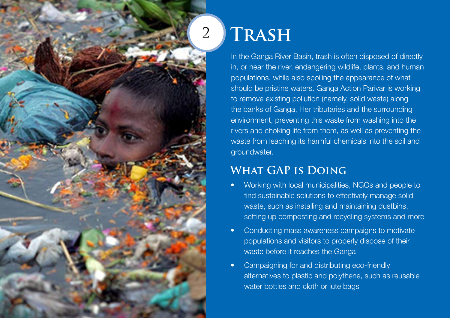

### **Trash**

In the Ganga River Basin, trash is often disposed of directly in, or near the river, endangering wildlife, plants, and human populations, while also spoiling the appearance of what should be pristine waters. Ganga Action Parivar is working to remove existing pollution (namely, solid waste) along the banks of Ganga, Her tributaries and the surrounding environment, preventing this waste from washing into the rivers and choking life from them, as well as preventing the waste from leaching its harmful chemicals into the soil and groundwater.

#### **What GAP is Doing**

- Working with local municipalities, NGOs and people to find sustainable solutions to effectively manage solid waste, such as installing and maintaining dustbins, setting up composting and recycling systems and more
- Conducting mass awareness campaigns to motivate populations and visitors to properly dispose of their waste before it reaches the Ganga
- Campaigning for and distributing eco-friendly alternatives to plastic and polythene, such as reusable water bottles and cloth or jute bags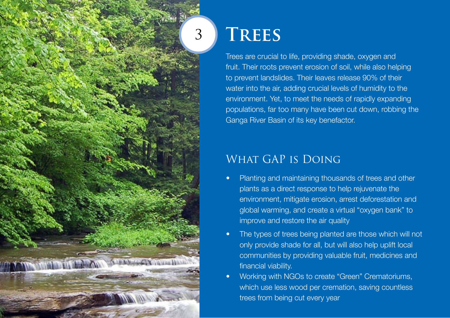

### **Trees**

Trees are crucial to life, providing shade, oxygen and fruit. Their roots prevent erosion of soil, while also helping to prevent landslides. Their leaves release 90% of their water into the air, adding crucial levels of humidity to the environment. Yet, to meet the needs of rapidly expanding populations, far too many have been cut down, robbing the Ganga River Basin of its key benefactor.

#### WHAT GAP IS DOING

- Planting and maintaining thousands of trees and other plants as a direct response to help rejuvenate the environment, mitigate erosion, arrest deforestation and global warming, and create a virtual "oxygen bank" to improve and restore the air quality
- The types of trees being planted are those which will not only provide shade for all, but will also help uplift local communities by providing valuable fruit, medicines and financial viability.
- Working with NGOs to create "Green" Crematoriums, which use less wood per cremation, saving countless trees from being cut every year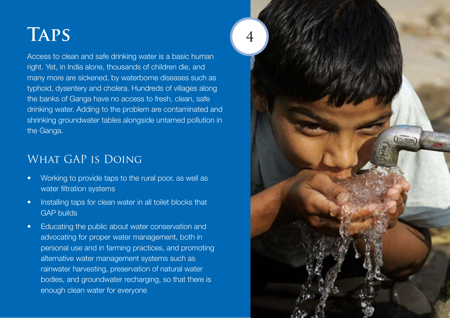### **Taps**

Access to clean and safe drinking water is a basic human right. Yet, in India alone, thousands of children die, and many more are sickened, by waterborne diseases such as typhoid, dysentery and cholera. Hundreds of villages along the banks of Ganga have no access to fresh, clean, safe drinking water. Adding to the problem are contaminated and shrinking groundwater tables alongside untamed pollution in the Ganga.

#### WHAT GAP IS DOING

- Working to provide taps to the rural poor, as well as water filtration systems
- Installing taps for clean water in all toilet blocks that GAP builds
- Educating the public about water conservation and advocating for proper water management, both in personal use and in farming practices, and promoting alternative water management systems such as rainwater harvesting, preservation of natural water bodies, and groundwater recharging, so that there is enough clean water for everyone

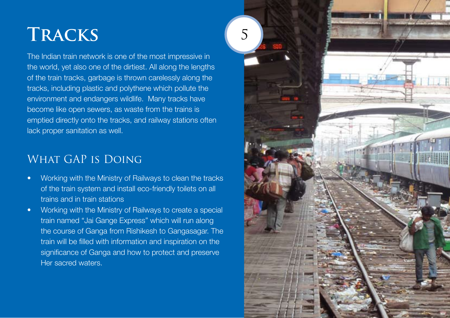### **Tracks**

The Indian train network is one of the most impressive in the world, yet also one of the dirtiest. All along the lengths of the train tracks, garbage is thrown carelessly along the tracks, including plastic and polythene which pollute the environment and endangers wildlife. Many tracks have become like open sewers, as waste from the trains is emptied directly onto the tracks, and railway stations often lack proper sanitation as well.

#### WHAT GAP IS DOING

- Working with the Ministry of Railways to clean the tracks of the train system and install eco-friendly toilets on all trains and in train stations
- Working with the Ministry of Railways to create a special train named "Jai Gange Express" which will run along the course of Ganga from Rishikesh to Gangasagar. The train will be filled with information and inspiration on the significance of Ganga and how to protect and preserve Her sacred waters.

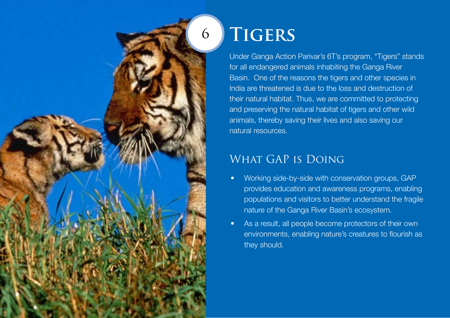### 6

Under Ganga Action Parivar's 6T's program, "Tigers" stands for all endangered animals inhabiting the Ganga River Basin. One of the reasons the tigers and other species in India are threatened is due to the loss and destruction of their natural habitat. Thus, we are committed to protecting and preserving the natural habitat of tigers and other wild animals, thereby saving their lives and also saving our natural resources.

#### WHAT GAP IS DOING

**Tigers**

- Working side-by-side with conservation groups, GAP provides education and awareness programs, enabling populations and visitors to better understand the fragile nature of the Ganga River Basin's ecosystem.
- As a result, all people become protectors of their own environments, enabling nature's creatures to flourish as they should.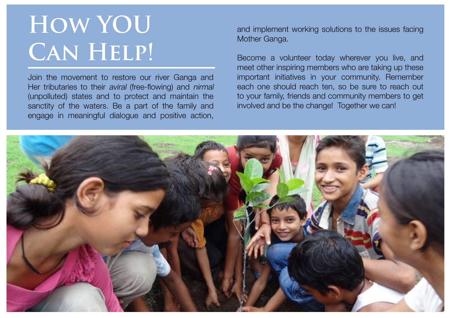# **How YOU Can Help!**

Join the movement to restore our river Ganga and Her tributaries to their *aviral* (free-flowing) and *nirmal* (unpolluted) states and to protect and maintain the sanctity of the waters. Be a part of the family and engage in meaningful dialogue and positive action,

and implement working solutions to the issues facing Mother Ganga.

Become a volunteer today wherever you live, and meet other inspiring members who are taking up these important initiatives in your community. Remember each one should reach ten, so be sure to reach out to your family, friends and community members to get involved and be the change! Together we can!

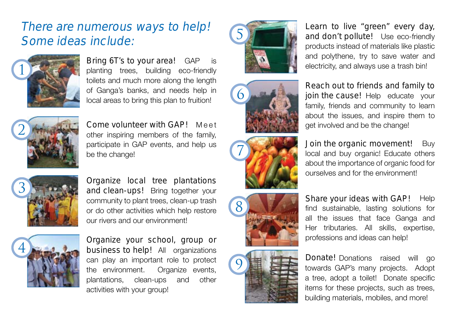### There are numerous ways to help! Some ideas include:



Bring 6T's to your area! GAP is planting trees, building eco-friendly toilets and much more along the length of Ganga's banks, and needs help in local areas to bring this plan to fruition!



Come volunteer with GAP! Meet other inspiring members of the family, participate in GAP events, and help us be the change!



Organize local tree plantations and clean-ups! Bring together your community to plant trees, clean-up trash or do other activities which help restore our rivers and our environment!



Organize your school, group or **business to help!** All organizations can play an important role to protect the environment. Organize events, plantations, clean-ups and other activities with your group!











Learn to live "green" every day, and don't pollute! Use eco-friendly products instead of materials like plastic and polythene, try to save water and electricity, and always use a trash bin!

Reach out to friends and family to join the cause! Help educate your family, friends and community to learn about the issues, and inspire them to get involved and be the change!

Buy local and buy organic! Educate others about the importance of organic food for ourselves and for the environment! Join the organic movement!

Share your ideas with GAP! Help find sustainable, lasting solutions for all the issues that face Ganga and Her tributaries. All skills, expertise, professions and ideas can help!

Donate! Donations raised will go towards GAP's many projects. Adopt a tree, adopt a toilet! Donate specific items for these projects, such as trees, building materials, mobiles, and more!